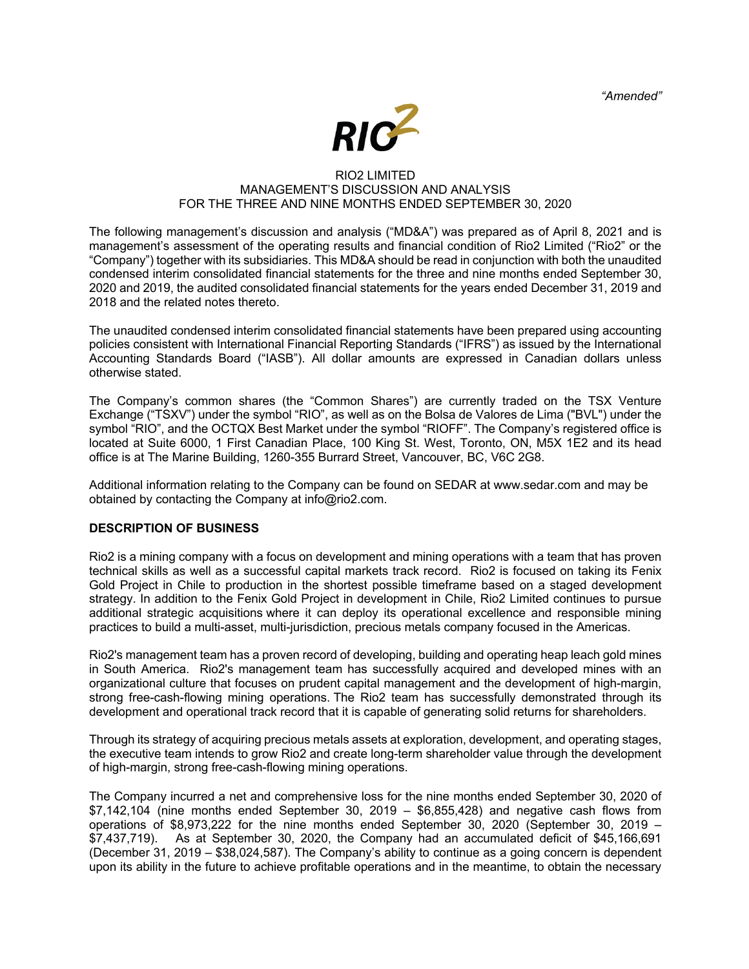*"Amended"*



### RIO2 LIMITED MANAGEMENT'S DISCUSSION AND ANALYSIS FOR THE THREE AND NINE MONTHS ENDED SEPTEMBER 30, 2020

The following management's discussion and analysis ("MD&A") was prepared as of April 8, 2021 and is management's assessment of the operating results and financial condition of Rio2 Limited ("Rio2" or the "Company") together with its subsidiaries. This MD&A should be read in conjunction with both the unaudited condensed interim consolidated financial statements for the three and nine months ended September 30, 2020 and 2019, the audited consolidated financial statements for the years ended December 31, 2019 and 2018 and the related notes thereto.

The unaudited condensed interim consolidated financial statements have been prepared using accounting policies consistent with International Financial Reporting Standards ("IFRS") as issued by the International Accounting Standards Board ("IASB"). All dollar amounts are expressed in Canadian dollars unless otherwise stated.

The Company's common shares (the "Common Shares") are currently traded on the TSX Venture Exchange ("TSXV") under the symbol "RIO", as well as on the Bolsa de Valores de Lima ("BVL") under the symbol "RIO", and the OCTQX Best Market under the symbol "RIOFF". The Company's registered office is located at Suite 6000, 1 First Canadian Place, 100 King St. West, Toronto, ON, M5X 1E2 and its head office is at The Marine Building, 1260-355 Burrard Street, Vancouver, BC, V6C 2G8.

Additional information relating to the Company can be found on SEDAR at www.sedar.com and may be obtained by contacting the Company at info@rio2.com.

## **DESCRIPTION OF BUSINESS**

Rio2 is a mining company with a focus on development and mining operations with a team that has proven technical skills as well as a successful capital markets track record. Rio2 is focused on taking its Fenix Gold Project in Chile to production in the shortest possible timeframe based on a staged development strategy. In addition to the Fenix Gold Project in development in Chile, Rio2 Limited continues to pursue additional strategic acquisitions where it can deploy its operational excellence and responsible mining practices to build a multi-asset, multi-jurisdiction, precious metals company focused in the Americas.

Rio2's management team has a proven record of developing, building and operating heap leach gold mines in South America. Rio2's management team has successfully acquired and developed mines with an organizational culture that focuses on prudent capital management and the development of high-margin, strong free-cash-flowing mining operations. The Rio2 team has successfully demonstrated through its development and operational track record that it is capable of generating solid returns for shareholders.

Through its strategy of acquiring precious metals assets at exploration, development, and operating stages, the executive team intends to grow Rio2 and create long-term shareholder value through the development of high-margin, strong free-cash-flowing mining operations.

The Company incurred a net and comprehensive loss for the nine months ended September 30, 2020 of  $$7,142,104$  (nine months ended September 30, 2019 –  $$6,855,428$ ) and negative cash flows from operations of \$8,973,222 for the nine months ended September 30, 2020 (September 30, 2019 – \$7,437,719). As at September 30, 2020, the Company had an accumulated deficit of \$45,166,691 (December 31, 2019 – \$38,024,587). The Company's ability to continue as a going concern is dependent upon its ability in the future to achieve profitable operations and in the meantime, to obtain the necessary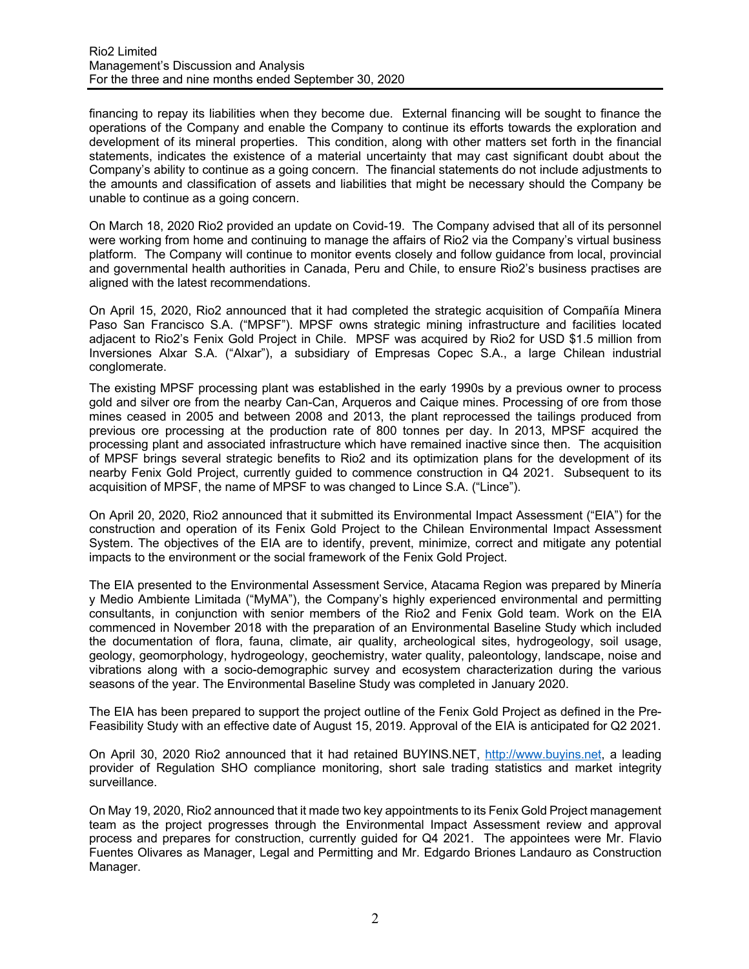financing to repay its liabilities when they become due. External financing will be sought to finance the operations of the Company and enable the Company to continue its efforts towards the exploration and development of its mineral properties. This condition, along with other matters set forth in the financial statements, indicates the existence of a material uncertainty that may cast significant doubt about the Company's ability to continue as a going concern. The financial statements do not include adjustments to the amounts and classification of assets and liabilities that might be necessary should the Company be unable to continue as a going concern.

On March 18, 2020 Rio2 provided an update on Covid-19. The Company advised that all of its personnel were working from home and continuing to manage the affairs of Rio2 via the Company's virtual business platform. The Company will continue to monitor events closely and follow guidance from local, provincial and governmental health authorities in Canada, Peru and Chile, to ensure Rio2's business practises are aligned with the latest recommendations.

On April 15, 2020, Rio2 announced that it had completed the strategic acquisition of Compañía Minera Paso San Francisco S.A. ("MPSF"). MPSF owns strategic mining infrastructure and facilities located adjacent to Rio2's Fenix Gold Project in Chile. MPSF was acquired by Rio2 for USD \$1.5 million from Inversiones Alxar S.A. ("Alxar"), a subsidiary of Empresas Copec S.A., a large Chilean industrial conglomerate.

The existing MPSF processing plant was established in the early 1990s by a previous owner to process gold and silver ore from the nearby Can-Can, Arqueros and Caique mines. Processing of ore from those mines ceased in 2005 and between 2008 and 2013, the plant reprocessed the tailings produced from previous ore processing at the production rate of 800 tonnes per day. In 2013, MPSF acquired the processing plant and associated infrastructure which have remained inactive since then. The acquisition of MPSF brings several strategic benefits to Rio2 and its optimization plans for the development of its nearby Fenix Gold Project, currently guided to commence construction in Q4 2021. Subsequent to its acquisition of MPSF, the name of MPSF to was changed to Lince S.A. ("Lince").

On April 20, 2020, Rio2 announced that it submitted its Environmental Impact Assessment ("EIA") for the construction and operation of its Fenix Gold Project to the Chilean Environmental Impact Assessment System. The objectives of the EIA are to identify, prevent, minimize, correct and mitigate any potential impacts to the environment or the social framework of the Fenix Gold Project.

The EIA presented to the Environmental Assessment Service, Atacama Region was prepared by Minería y Medio Ambiente Limitada ("MyMA"), the Company's highly experienced environmental and permitting consultants, in conjunction with senior members of the Rio2 and Fenix Gold team. Work on the EIA commenced in November 2018 with the preparation of an Environmental Baseline Study which included the documentation of flora, fauna, climate, air quality, archeological sites, hydrogeology, soil usage, geology, geomorphology, hydrogeology, geochemistry, water quality, paleontology, landscape, noise and vibrations along with a socio-demographic survey and ecosystem characterization during the various seasons of the year. The Environmental Baseline Study was completed in January 2020.

The EIA has been prepared to support the project outline of the Fenix Gold Project as defined in the Pre-Feasibility Study with an effective date of August 15, 2019. Approval of the EIA is anticipated for Q2 2021.

On April 30, 2020 Rio2 announced that it had retained BUYINS.NET, http://www.buyins.net, a leading provider of Regulation SHO compliance monitoring, short sale trading statistics and market integrity surveillance.

On May 19, 2020, Rio2 announced that it made two key appointments to its Fenix Gold Project management team as the project progresses through the Environmental Impact Assessment review and approval process and prepares for construction, currently guided for Q4 2021. The appointees were Mr. Flavio Fuentes Olivares as Manager, Legal and Permitting and Mr. Edgardo Briones Landauro as Construction Manager.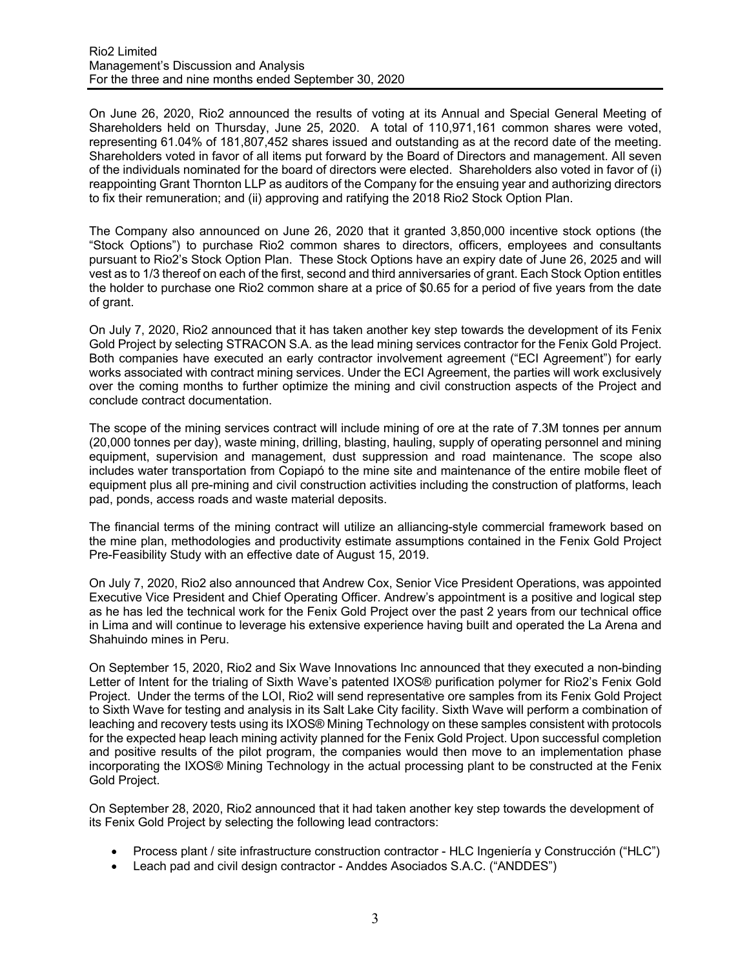On June 26, 2020, Rio2 announced the results of voting at its Annual and Special General Meeting of Shareholders held on Thursday, June 25, 2020. A total of 110,971,161 common shares were voted, representing 61.04% of 181,807,452 shares issued and outstanding as at the record date of the meeting. Shareholders voted in favor of all items put forward by the Board of Directors and management. All seven of the individuals nominated for the board of directors were elected. Shareholders also voted in favor of (i) reappointing Grant Thornton LLP as auditors of the Company for the ensuing year and authorizing directors to fix their remuneration; and (ii) approving and ratifying the 2018 Rio2 Stock Option Plan.

The Company also announced on June 26, 2020 that it granted 3,850,000 incentive stock options (the "Stock Options") to purchase Rio2 common shares to directors, officers, employees and consultants pursuant to Rio2's Stock Option Plan. These Stock Options have an expiry date of June 26, 2025 and will vest as to 1/3 thereof on each of the first, second and third anniversaries of grant. Each Stock Option entitles the holder to purchase one Rio2 common share at a price of \$0.65 for a period of five years from the date of grant.

On July 7, 2020, Rio2 announced that it has taken another key step towards the development of its Fenix Gold Project by selecting STRACON S.A. as the lead mining services contractor for the Fenix Gold Project. Both companies have executed an early contractor involvement agreement ("ECI Agreement") for early works associated with contract mining services. Under the ECI Agreement, the parties will work exclusively over the coming months to further optimize the mining and civil construction aspects of the Project and conclude contract documentation.

The scope of the mining services contract will include mining of ore at the rate of 7.3M tonnes per annum (20,000 tonnes per day), waste mining, drilling, blasting, hauling, supply of operating personnel and mining equipment, supervision and management, dust suppression and road maintenance. The scope also includes water transportation from Copiapó to the mine site and maintenance of the entire mobile fleet of equipment plus all pre-mining and civil construction activities including the construction of platforms, leach pad, ponds, access roads and waste material deposits.

The financial terms of the mining contract will utilize an alliancing-style commercial framework based on the mine plan, methodologies and productivity estimate assumptions contained in the Fenix Gold Project Pre-Feasibility Study with an effective date of August 15, 2019.

On July 7, 2020, Rio2 also announced that Andrew Cox, Senior Vice President Operations, was appointed Executive Vice President and Chief Operating Officer. Andrew's appointment is a positive and logical step as he has led the technical work for the Fenix Gold Project over the past 2 years from our technical office in Lima and will continue to leverage his extensive experience having built and operated the La Arena and Shahuindo mines in Peru.

On September 15, 2020, Rio2 and Six Wave Innovations Inc announced that they executed a non-binding Letter of Intent for the trialing of Sixth Wave's patented IXOS® purification polymer for Rio2's Fenix Gold Project. Under the terms of the LOI, Rio2 will send representative ore samples from its Fenix Gold Project to Sixth Wave for testing and analysis in its Salt Lake City facility. Sixth Wave will perform a combination of leaching and recovery tests using its IXOS® Mining Technology on these samples consistent with protocols for the expected heap leach mining activity planned for the Fenix Gold Project. Upon successful completion and positive results of the pilot program, the companies would then move to an implementation phase incorporating the IXOS® Mining Technology in the actual processing plant to be constructed at the Fenix Gold Project.

On September 28, 2020, Rio2 announced that it had taken another key step towards the development of its Fenix Gold Project by selecting the following lead contractors:

- Process plant / site infrastructure construction contractor HLC Ingeniería y Construcción ("HLC")
- Leach pad and civil design contractor Anddes Asociados S.A.C. ("ANDDES")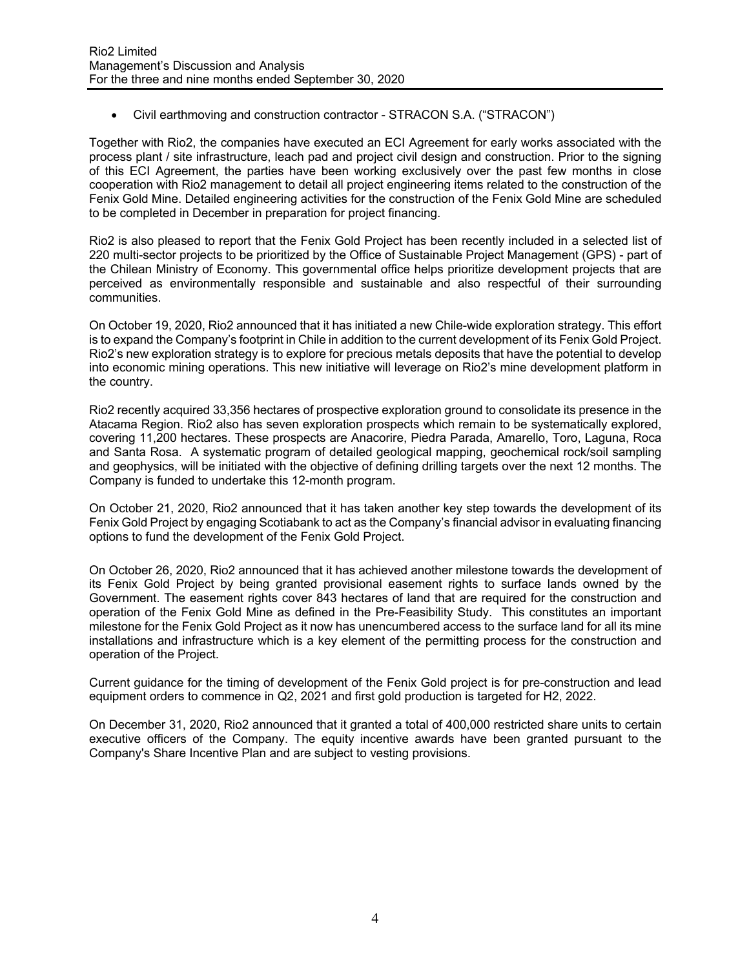• Civil earthmoving and construction contractor - STRACON S.A. ("STRACON")

Together with Rio2, the companies have executed an ECI Agreement for early works associated with the process plant / site infrastructure, leach pad and project civil design and construction. Prior to the signing of this ECI Agreement, the parties have been working exclusively over the past few months in close cooperation with Rio2 management to detail all project engineering items related to the construction of the Fenix Gold Mine. Detailed engineering activities for the construction of the Fenix Gold Mine are scheduled to be completed in December in preparation for project financing.

Rio2 is also pleased to report that the Fenix Gold Project has been recently included in a selected list of 220 multi-sector projects to be prioritized by the Office of Sustainable Project Management (GPS) - part of the Chilean Ministry of Economy. This governmental office helps prioritize development projects that are perceived as environmentally responsible and sustainable and also respectful of their surrounding communities.

On October 19, 2020, Rio2 announced that it has initiated a new Chile-wide exploration strategy. This effort is to expand the Company's footprint in Chile in addition to the current development of its Fenix Gold Project. Rio2's new exploration strategy is to explore for precious metals deposits that have the potential to develop into economic mining operations. This new initiative will leverage on Rio2's mine development platform in the country.

Rio2 recently acquired 33,356 hectares of prospective exploration ground to consolidate its presence in the Atacama Region. Rio2 also has seven exploration prospects which remain to be systematically explored, covering 11,200 hectares. These prospects are Anacorire, Piedra Parada, Amarello, Toro, Laguna, Roca and Santa Rosa. A systematic program of detailed geological mapping, geochemical rock/soil sampling and geophysics, will be initiated with the objective of defining drilling targets over the next 12 months. The Company is funded to undertake this 12-month program.

On October 21, 2020, Rio2 announced that it has taken another key step towards the development of its Fenix Gold Project by engaging Scotiabank to act as the Company's financial advisor in evaluating financing options to fund the development of the Fenix Gold Project.

On October 26, 2020, Rio2 announced that it has achieved another milestone towards the development of its Fenix Gold Project by being granted provisional easement rights to surface lands owned by the Government. The easement rights cover 843 hectares of land that are required for the construction and operation of the Fenix Gold Mine as defined in the Pre-Feasibility Study. This constitutes an important milestone for the Fenix Gold Project as it now has unencumbered access to the surface land for all its mine installations and infrastructure which is a key element of the permitting process for the construction and operation of the Project.

Current guidance for the timing of development of the Fenix Gold project is for pre-construction and lead equipment orders to commence in Q2, 2021 and first gold production is targeted for H2, 2022.

On December 31, 2020, Rio2 announced that it granted a total of 400,000 restricted share units to certain executive officers of the Company. The equity incentive awards have been granted pursuant to the Company's Share Incentive Plan and are subject to vesting provisions.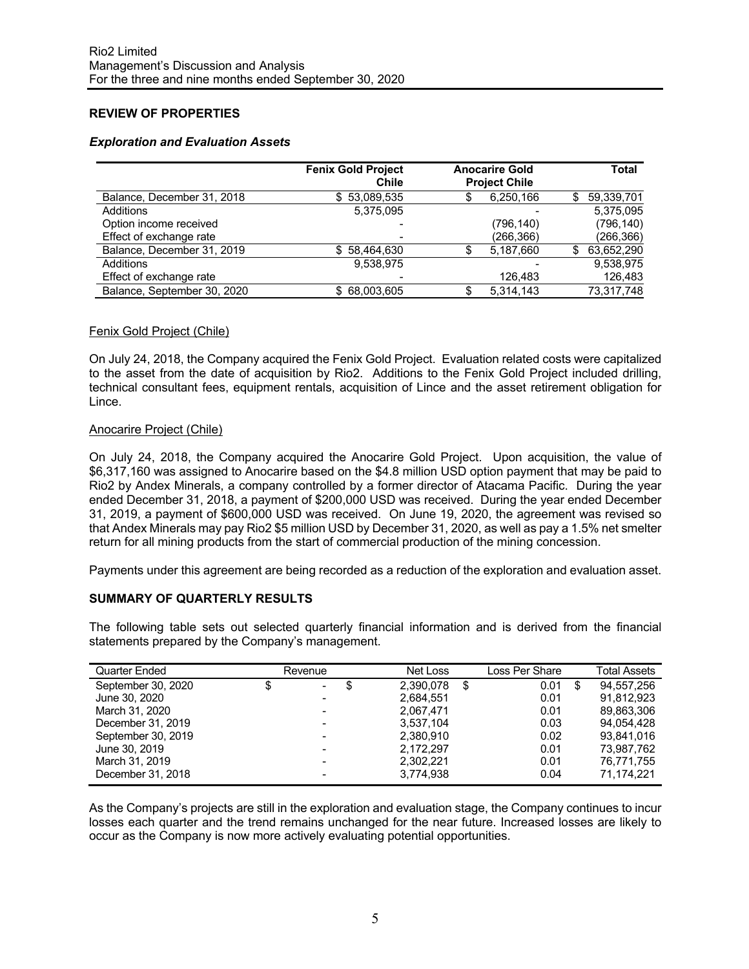# **REVIEW OF PROPERTIES**

## *Exploration and Evaluation Assets*

|                             | <b>Fenix Gold Project</b><br>Chile | <b>Anocarire Gold</b><br><b>Project Chile</b> |   | Total      |
|-----------------------------|------------------------------------|-----------------------------------------------|---|------------|
| Balance, December 31, 2018  | \$53.089.535                       | 6,250,166                                     | S | 59,339,701 |
| Additions                   | 5,375,095                          |                                               |   | 5.375.095  |
| Option income received      |                                    | (796,140)                                     |   | (796, 140) |
| Effect of exchange rate     |                                    | (266,366)                                     |   | (266,366)  |
| Balance, December 31, 2019  | \$58,464,630                       | 5,187,660                                     | S | 63,652,290 |
| Additions                   | 9,538,975                          |                                               |   | 9.538.975  |
| Effect of exchange rate     |                                    | 126.483                                       |   | 126,483    |
| Balance, September 30, 2020 | \$68,003,605                       | 5.314.143                                     |   | 73,317,748 |

### Fenix Gold Project (Chile)

On July 24, 2018, the Company acquired the Fenix Gold Project. Evaluation related costs were capitalized to the asset from the date of acquisition by Rio2. Additions to the Fenix Gold Project included drilling, technical consultant fees, equipment rentals, acquisition of Lince and the asset retirement obligation for Lince.

### Anocarire Project (Chile)

On July 24, 2018, the Company acquired the Anocarire Gold Project. Upon acquisition, the value of \$6,317,160 was assigned to Anocarire based on the \$4.8 million USD option payment that may be paid to Rio2 by Andex Minerals, a company controlled by a former director of Atacama Pacific. During the year ended December 31, 2018, a payment of \$200,000 USD was received. During the year ended December 31, 2019, a payment of \$600,000 USD was received. On June 19, 2020, the agreement was revised so that Andex Minerals may pay Rio2 \$5 million USD by December 31, 2020, as well as pay a 1.5% net smelter return for all mining products from the start of commercial production of the mining concession.

Payments under this agreement are being recorded as a reduction of the exploration and evaluation asset.

## **SUMMARY OF QUARTERLY RESULTS**

The following table sets out selected quarterly financial information and is derived from the financial statements prepared by the Company's management.

| Quarter Ended      | Revenue  | Net Loss  | Loss Per Share | <b>Total Assets</b> |
|--------------------|----------|-----------|----------------|---------------------|
| September 30, 2020 | \$<br>۰. | 2.390.078 | 0.01           | \$<br>94.557.256    |
| June 30, 2020      |          | 2,684,551 | 0.01           | 91.812.923          |
| March 31, 2020     |          | 2.067.471 | 0.01           | 89.863.306          |
| December 31, 2019  |          | 3.537.104 | 0.03           | 94.054.428          |
| September 30, 2019 |          | 2.380.910 | 0.02           | 93.841.016          |
| June 30, 2019      |          | 2,172,297 | 0.01           | 73,987,762          |
| March 31, 2019     |          | 2.302.221 | 0.01           | 76,771,755          |
| December 31, 2018  |          | 3,774,938 | 0.04           | 71,174,221          |

As the Company's projects are still in the exploration and evaluation stage, the Company continues to incur losses each quarter and the trend remains unchanged for the near future. Increased losses are likely to occur as the Company is now more actively evaluating potential opportunities.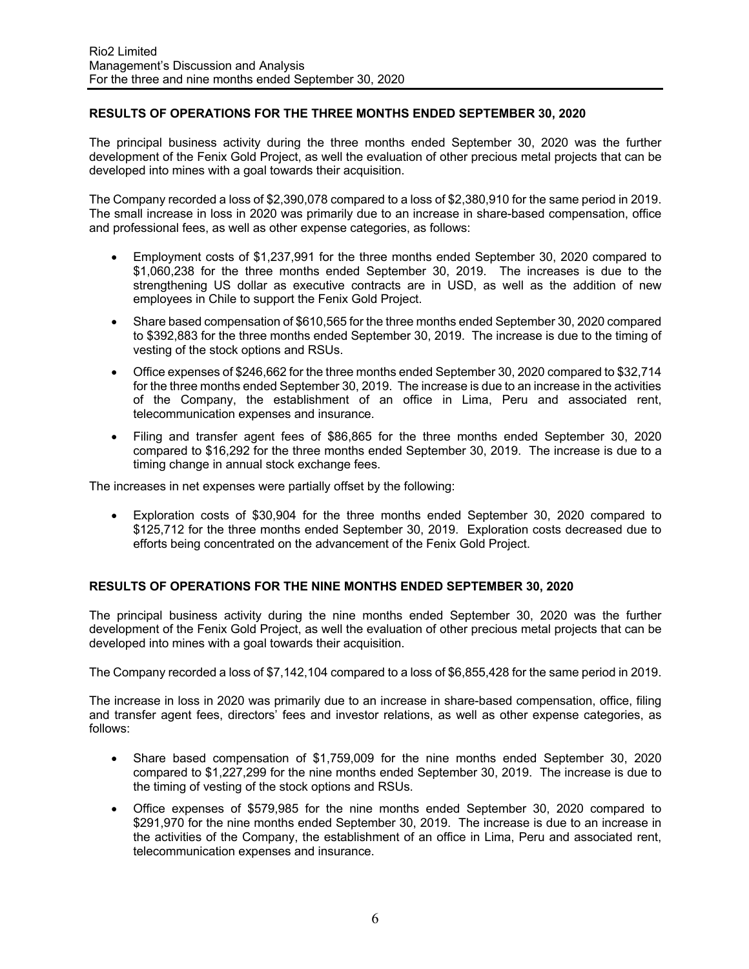## **RESULTS OF OPERATIONS FOR THE THREE MONTHS ENDED SEPTEMBER 30, 2020**

The principal business activity during the three months ended September 30, 2020 was the further development of the Fenix Gold Project, as well the evaluation of other precious metal projects that can be developed into mines with a goal towards their acquisition.

The Company recorded a loss of \$2,390,078 compared to a loss of \$2,380,910 for the same period in 2019. The small increase in loss in 2020 was primarily due to an increase in share-based compensation, office and professional fees, as well as other expense categories, as follows:

- Employment costs of \$1,237,991 for the three months ended September 30, 2020 compared to \$1,060,238 for the three months ended September 30, 2019. The increases is due to the strengthening US dollar as executive contracts are in USD, as well as the addition of new employees in Chile to support the Fenix Gold Project.
- Share based compensation of \$610,565 for the three months ended September 30, 2020 compared to \$392,883 for the three months ended September 30, 2019. The increase is due to the timing of vesting of the stock options and RSUs.
- Office expenses of \$246,662 for the three months ended September 30, 2020 compared to \$32,714 for the three months ended September 30, 2019. The increase is due to an increase in the activities of the Company, the establishment of an office in Lima, Peru and associated rent, telecommunication expenses and insurance.
- Filing and transfer agent fees of \$86,865 for the three months ended September 30, 2020 compared to \$16,292 for the three months ended September 30, 2019. The increase is due to a timing change in annual stock exchange fees.

The increases in net expenses were partially offset by the following:

• Exploration costs of \$30,904 for the three months ended September 30, 2020 compared to \$125,712 for the three months ended September 30, 2019. Exploration costs decreased due to efforts being concentrated on the advancement of the Fenix Gold Project.

## **RESULTS OF OPERATIONS FOR THE NINE MONTHS ENDED SEPTEMBER 30, 2020**

The principal business activity during the nine months ended September 30, 2020 was the further development of the Fenix Gold Project, as well the evaluation of other precious metal projects that can be developed into mines with a goal towards their acquisition.

The Company recorded a loss of \$7,142,104 compared to a loss of \$6,855,428 for the same period in 2019.

The increase in loss in 2020 was primarily due to an increase in share-based compensation, office, filing and transfer agent fees, directors' fees and investor relations, as well as other expense categories, as follows:

- Share based compensation of \$1,759,009 for the nine months ended September 30, 2020 compared to \$1,227,299 for the nine months ended September 30, 2019. The increase is due to the timing of vesting of the stock options and RSUs.
- Office expenses of \$579,985 for the nine months ended September 30, 2020 compared to \$291,970 for the nine months ended September 30, 2019. The increase is due to an increase in the activities of the Company, the establishment of an office in Lima, Peru and associated rent, telecommunication expenses and insurance.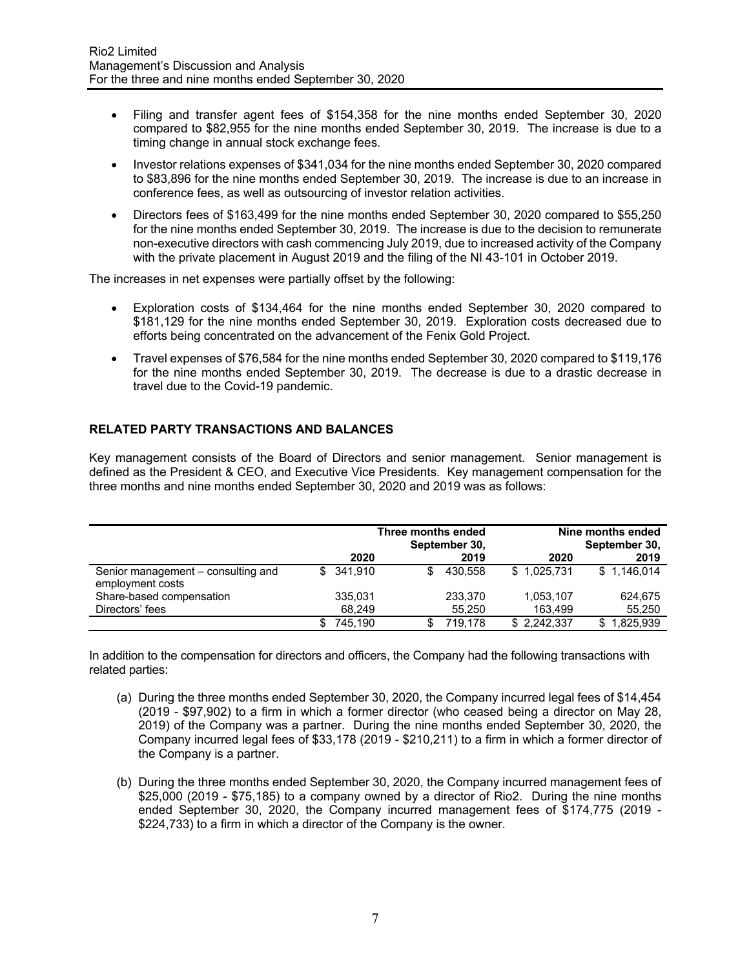- Filing and transfer agent fees of \$154,358 for the nine months ended September 30, 2020 compared to \$82,955 for the nine months ended September 30, 2019. The increase is due to a timing change in annual stock exchange fees.
- Investor relations expenses of \$341,034 for the nine months ended September 30, 2020 compared to \$83,896 for the nine months ended September 30, 2019. The increase is due to an increase in conference fees, as well as outsourcing of investor relation activities.
- Directors fees of \$163,499 for the nine months ended September 30, 2020 compared to \$55,250 for the nine months ended September 30, 2019. The increase is due to the decision to remunerate non-executive directors with cash commencing July 2019, due to increased activity of the Company with the private placement in August 2019 and the filing of the NI 43-101 in October 2019.

The increases in net expenses were partially offset by the following:

- Exploration costs of \$134,464 for the nine months ended September 30, 2020 compared to \$181,129 for the nine months ended September 30, 2019. Exploration costs decreased due to efforts being concentrated on the advancement of the Fenix Gold Project.
- Travel expenses of \$76,584 for the nine months ended September 30, 2020 compared to \$119,176 for the nine months ended September 30, 2019. The decrease is due to a drastic decrease in travel due to the Covid-19 pandemic.

# **RELATED PARTY TRANSACTIONS AND BALANCES**

Key management consists of the Board of Directors and senior management. Senior management is defined as the President & CEO, and Executive Vice Presidents. Key management compensation for the three months and nine months ended September 30, 2020 and 2019 was as follows:

|                                                        | Three months ended<br>September 30, |            | Nine months ended<br>September 30, |         |             |                  |
|--------------------------------------------------------|-------------------------------------|------------|------------------------------------|---------|-------------|------------------|
|                                                        |                                     | 2020       |                                    | 2019    | 2020        | 2019             |
| Senior management – consulting and<br>employment costs |                                     | \$ 341.910 | S.                                 | 430.558 | \$1,025,731 | \$1.146.014      |
| Share-based compensation                               |                                     | 335.031    |                                    | 233,370 | 1,053,107   | 624,675          |
| Directors' fees                                        |                                     | 68.249     |                                    | 55.250  | 163.499     | 55,250           |
|                                                        | \$.                                 | 745.190    |                                    | 719.178 | \$2,242,337 | 1,825,939<br>\$. |

In addition to the compensation for directors and officers, the Company had the following transactions with related parties:

- (a) During the three months ended September 30, 2020, the Company incurred legal fees of \$14,454 (2019 - \$97,902) to a firm in which a former director (who ceased being a director on May 28, 2019) of the Company was a partner. During the nine months ended September 30, 2020, the Company incurred legal fees of \$33,178 (2019 - \$210,211) to a firm in which a former director of the Company is a partner.
- (b) During the three months ended September 30, 2020, the Company incurred management fees of \$25,000 (2019 - \$75,185) to a company owned by a director of Rio2. During the nine months ended September 30, 2020, the Company incurred management fees of \$174,775 (2019 - \$224,733) to a firm in which a director of the Company is the owner.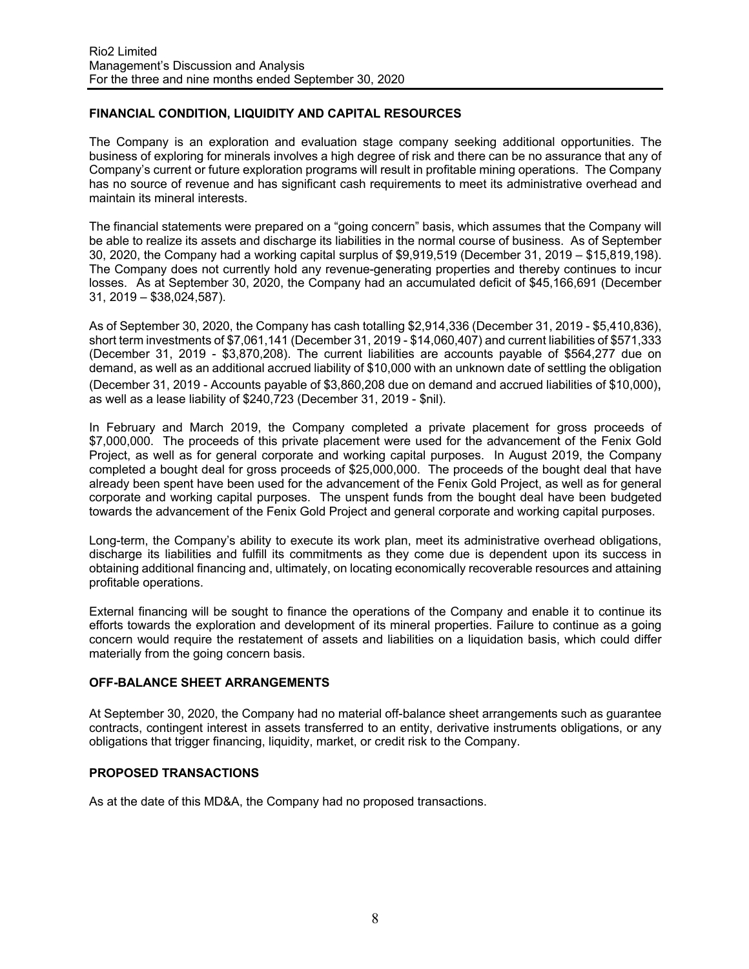# **FINANCIAL CONDITION, LIQUIDITY AND CAPITAL RESOURCES**

The Company is an exploration and evaluation stage company seeking additional opportunities. The business of exploring for minerals involves a high degree of risk and there can be no assurance that any of Company's current or future exploration programs will result in profitable mining operations. The Company has no source of revenue and has significant cash requirements to meet its administrative overhead and maintain its mineral interests.

The financial statements were prepared on a "going concern" basis, which assumes that the Company will be able to realize its assets and discharge its liabilities in the normal course of business. As of September 30, 2020, the Company had a working capital surplus of \$9,919,519 (December 31, 2019 – \$15,819,198). The Company does not currently hold any revenue-generating properties and thereby continues to incur losses. As at September 30, 2020, the Company had an accumulated deficit of \$45,166,691 (December 31, 2019 – \$38,024,587).

As of September 30, 2020, the Company has cash totalling \$2,914,336 (December 31, 2019 - \$5,410,836), short term investments of \$7,061,141 (December 31, 2019 - \$14,060,407) and current liabilities of \$571,333 (December 31, 2019 - \$3,870,208). The current liabilities are accounts payable of \$564,277 due on demand, as well as an additional accrued liability of \$10,000 with an unknown date of settling the obligation (December 31, 2019 - Accounts payable of \$3,860,208 due on demand and accrued liabilities of \$10,000), as well as a lease liability of \$240,723 (December 31, 2019 - \$nil).

In February and March 2019, the Company completed a private placement for gross proceeds of \$7,000,000. The proceeds of this private placement were used for the advancement of the Fenix Gold Project, as well as for general corporate and working capital purposes. In August 2019, the Company completed a bought deal for gross proceeds of \$25,000,000. The proceeds of the bought deal that have already been spent have been used for the advancement of the Fenix Gold Project, as well as for general corporate and working capital purposes. The unspent funds from the bought deal have been budgeted towards the advancement of the Fenix Gold Project and general corporate and working capital purposes.

Long-term, the Company's ability to execute its work plan, meet its administrative overhead obligations, discharge its liabilities and fulfill its commitments as they come due is dependent upon its success in obtaining additional financing and, ultimately, on locating economically recoverable resources and attaining profitable operations.

External financing will be sought to finance the operations of the Company and enable it to continue its efforts towards the exploration and development of its mineral properties. Failure to continue as a going concern would require the restatement of assets and liabilities on a liquidation basis, which could differ materially from the going concern basis.

#### **OFF-BALANCE SHEET ARRANGEMENTS**

At September 30, 2020, the Company had no material off-balance sheet arrangements such as guarantee contracts, contingent interest in assets transferred to an entity, derivative instruments obligations, or any obligations that trigger financing, liquidity, market, or credit risk to the Company.

#### **PROPOSED TRANSACTIONS**

As at the date of this MD&A, the Company had no proposed transactions.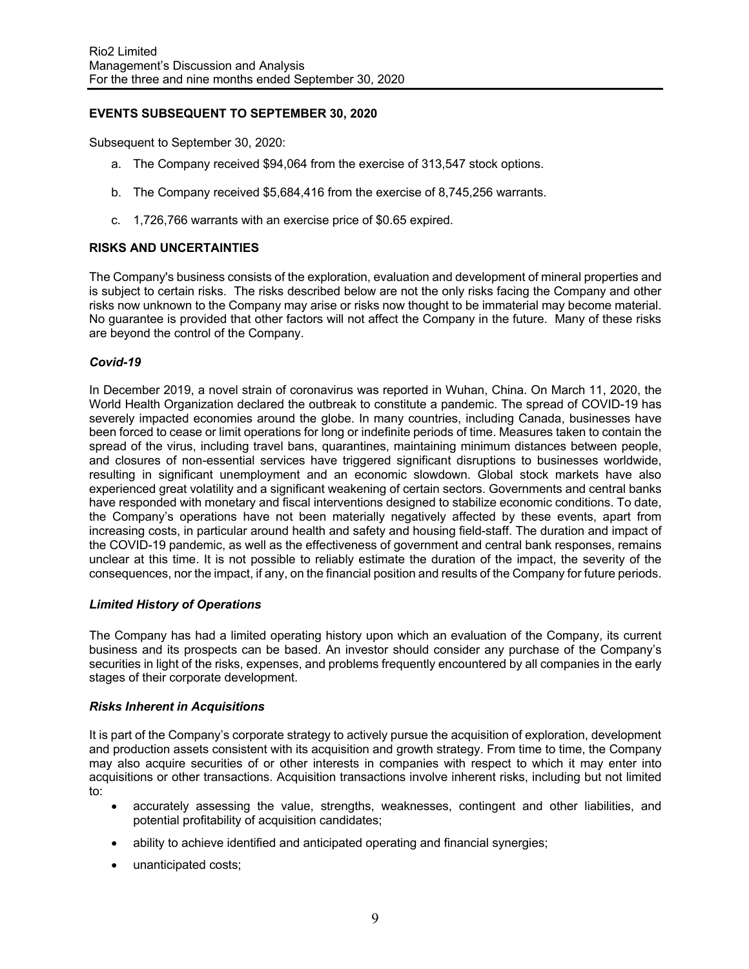# **EVENTS SUBSEQUENT TO SEPTEMBER 30, 2020**

Subsequent to September 30, 2020:

- a. The Company received \$94,064 from the exercise of 313,547 stock options.
- b. The Company received \$5,684,416 from the exercise of 8,745,256 warrants.
- c. 1,726,766 warrants with an exercise price of \$0.65 expired.

### **RISKS AND UNCERTAINTIES**

The Company's business consists of the exploration, evaluation and development of mineral properties and is subject to certain risks. The risks described below are not the only risks facing the Company and other risks now unknown to the Company may arise or risks now thought to be immaterial may become material. No guarantee is provided that other factors will not affect the Company in the future. Many of these risks are beyond the control of the Company.

### *Covid-19*

In December 2019, a novel strain of coronavirus was reported in Wuhan, China. On March 11, 2020, the World Health Organization declared the outbreak to constitute a pandemic. The spread of COVID-19 has severely impacted economies around the globe. In many countries, including Canada, businesses have been forced to cease or limit operations for long or indefinite periods of time. Measures taken to contain the spread of the virus, including travel bans, quarantines, maintaining minimum distances between people, and closures of non-essential services have triggered significant disruptions to businesses worldwide, resulting in significant unemployment and an economic slowdown. Global stock markets have also experienced great volatility and a significant weakening of certain sectors. Governments and central banks have responded with monetary and fiscal interventions designed to stabilize economic conditions. To date, the Company's operations have not been materially negatively affected by these events, apart from increasing costs, in particular around health and safety and housing field-staff. The duration and impact of the COVID-19 pandemic, as well as the effectiveness of government and central bank responses, remains unclear at this time. It is not possible to reliably estimate the duration of the impact, the severity of the consequences, nor the impact, if any, on the financial position and results of the Company for future periods.

#### *Limited History of Operations*

The Company has had a limited operating history upon which an evaluation of the Company, its current business and its prospects can be based. An investor should consider any purchase of the Company's securities in light of the risks, expenses, and problems frequently encountered by all companies in the early stages of their corporate development.

#### *Risks Inherent in Acquisitions*

It is part of the Company's corporate strategy to actively pursue the acquisition of exploration, development and production assets consistent with its acquisition and growth strategy. From time to time, the Company may also acquire securities of or other interests in companies with respect to which it may enter into acquisitions or other transactions. Acquisition transactions involve inherent risks, including but not limited to:

- accurately assessing the value, strengths, weaknesses, contingent and other liabilities, and potential profitability of acquisition candidates;
- ability to achieve identified and anticipated operating and financial synergies;
- unanticipated costs;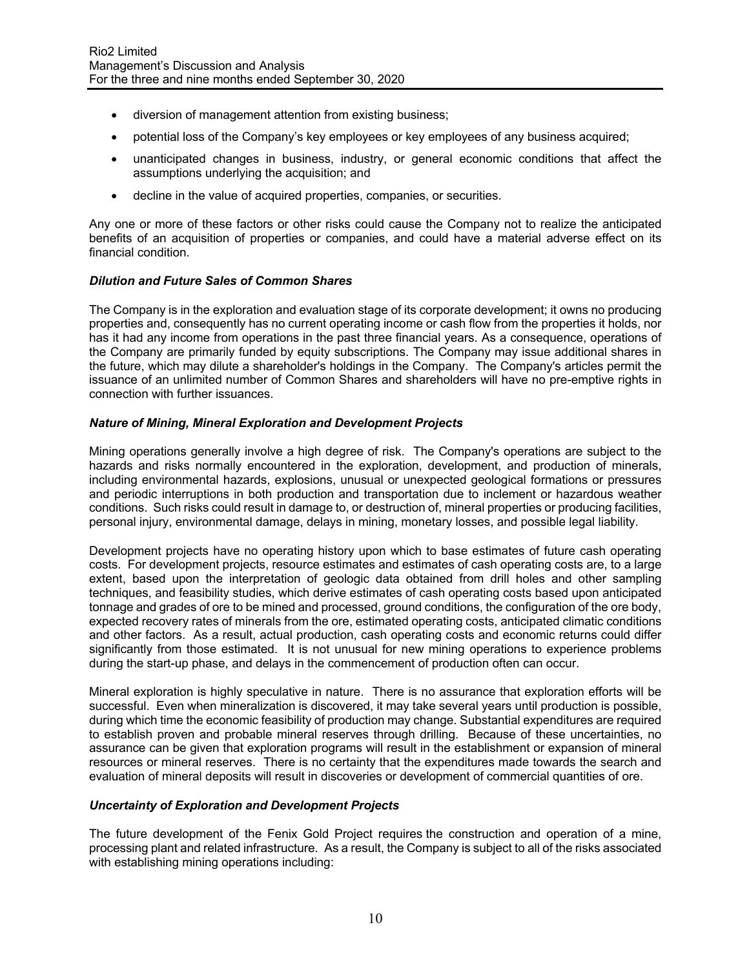- diversion of management attention from existing business;
- potential loss of the Company's key employees or key employees of any business acquired;
- unanticipated changes in business, industry, or general economic conditions that affect the assumptions underlying the acquisition; and
- decline in the value of acquired properties, companies, or securities.

Any one or more of these factors or other risks could cause the Company not to realize the anticipated benefits of an acquisition of properties or companies, and could have a material adverse effect on its financial condition.

### *Dilution and Future Sales of Common Shares*

The Company is in the exploration and evaluation stage of its corporate development; it owns no producing properties and, consequently has no current operating income or cash flow from the properties it holds, nor has it had any income from operations in the past three financial years. As a consequence, operations of the Company are primarily funded by equity subscriptions. The Company may issue additional shares in the future, which may dilute a shareholder's holdings in the Company. The Company's articles permit the issuance of an unlimited number of Common Shares and shareholders will have no pre-emptive rights in connection with further issuances.

### *Nature of Mining, Mineral Exploration and Development Projects*

Mining operations generally involve a high degree of risk. The Company's operations are subject to the hazards and risks normally encountered in the exploration, development, and production of minerals, including environmental hazards, explosions, unusual or unexpected geological formations or pressures and periodic interruptions in both production and transportation due to inclement or hazardous weather conditions. Such risks could result in damage to, or destruction of, mineral properties or producing facilities, personal injury, environmental damage, delays in mining, monetary losses, and possible legal liability.

Development projects have no operating history upon which to base estimates of future cash operating costs. For development projects, resource estimates and estimates of cash operating costs are, to a large extent, based upon the interpretation of geologic data obtained from drill holes and other sampling techniques, and feasibility studies, which derive estimates of cash operating costs based upon anticipated tonnage and grades of ore to be mined and processed, ground conditions, the configuration of the ore body, expected recovery rates of minerals from the ore, estimated operating costs, anticipated climatic conditions and other factors. As a result, actual production, cash operating costs and economic returns could differ significantly from those estimated. It is not unusual for new mining operations to experience problems during the start-up phase, and delays in the commencement of production often can occur.

Mineral exploration is highly speculative in nature. There is no assurance that exploration efforts will be successful. Even when mineralization is discovered, it may take several years until production is possible, during which time the economic feasibility of production may change. Substantial expenditures are required to establish proven and probable mineral reserves through drilling. Because of these uncertainties, no assurance can be given that exploration programs will result in the establishment or expansion of mineral resources or mineral reserves. There is no certainty that the expenditures made towards the search and evaluation of mineral deposits will result in discoveries or development of commercial quantities of ore.

## *Uncertainty of Exploration and Development Projects*

The future development of the Fenix Gold Project requires the construction and operation of a mine, processing plant and related infrastructure. As a result, the Company is subject to all of the risks associated with establishing mining operations including: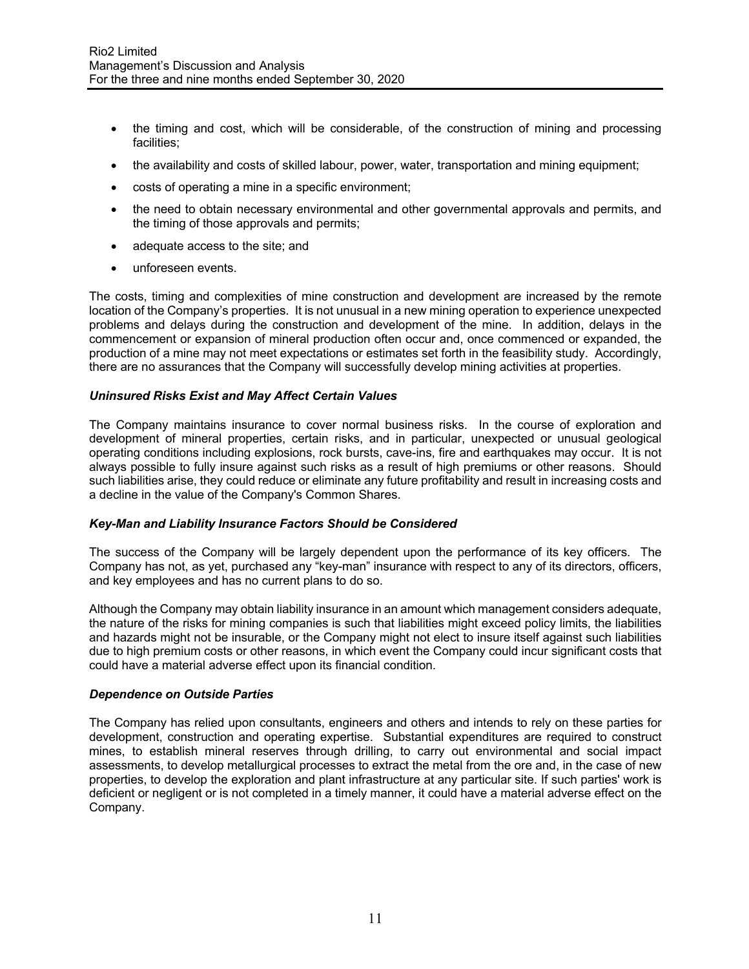- the timing and cost, which will be considerable, of the construction of mining and processing facilities;
- the availability and costs of skilled labour, power, water, transportation and mining equipment;
- costs of operating a mine in a specific environment;
- the need to obtain necessary environmental and other governmental approvals and permits, and the timing of those approvals and permits;
- adequate access to the site; and
- unforeseen events.

The costs, timing and complexities of mine construction and development are increased by the remote location of the Company's properties. It is not unusual in a new mining operation to experience unexpected problems and delays during the construction and development of the mine. In addition, delays in the commencement or expansion of mineral production often occur and, once commenced or expanded, the production of a mine may not meet expectations or estimates set forth in the feasibility study. Accordingly, there are no assurances that the Company will successfully develop mining activities at properties.

### *Uninsured Risks Exist and May Affect Certain Values*

The Company maintains insurance to cover normal business risks. In the course of exploration and development of mineral properties, certain risks, and in particular, unexpected or unusual geological operating conditions including explosions, rock bursts, cave-ins, fire and earthquakes may occur. It is not always possible to fully insure against such risks as a result of high premiums or other reasons. Should such liabilities arise, they could reduce or eliminate any future profitability and result in increasing costs and a decline in the value of the Company's Common Shares.

#### *Key-Man and Liability Insurance Factors Should be Considered*

The success of the Company will be largely dependent upon the performance of its key officers. The Company has not, as yet, purchased any "key-man" insurance with respect to any of its directors, officers, and key employees and has no current plans to do so.

Although the Company may obtain liability insurance in an amount which management considers adequate, the nature of the risks for mining companies is such that liabilities might exceed policy limits, the liabilities and hazards might not be insurable, or the Company might not elect to insure itself against such liabilities due to high premium costs or other reasons, in which event the Company could incur significant costs that could have a material adverse effect upon its financial condition.

#### *Dependence on Outside Parties*

The Company has relied upon consultants, engineers and others and intends to rely on these parties for development, construction and operating expertise. Substantial expenditures are required to construct mines, to establish mineral reserves through drilling, to carry out environmental and social impact assessments, to develop metallurgical processes to extract the metal from the ore and, in the case of new properties, to develop the exploration and plant infrastructure at any particular site. If such parties' work is deficient or negligent or is not completed in a timely manner, it could have a material adverse effect on the Company.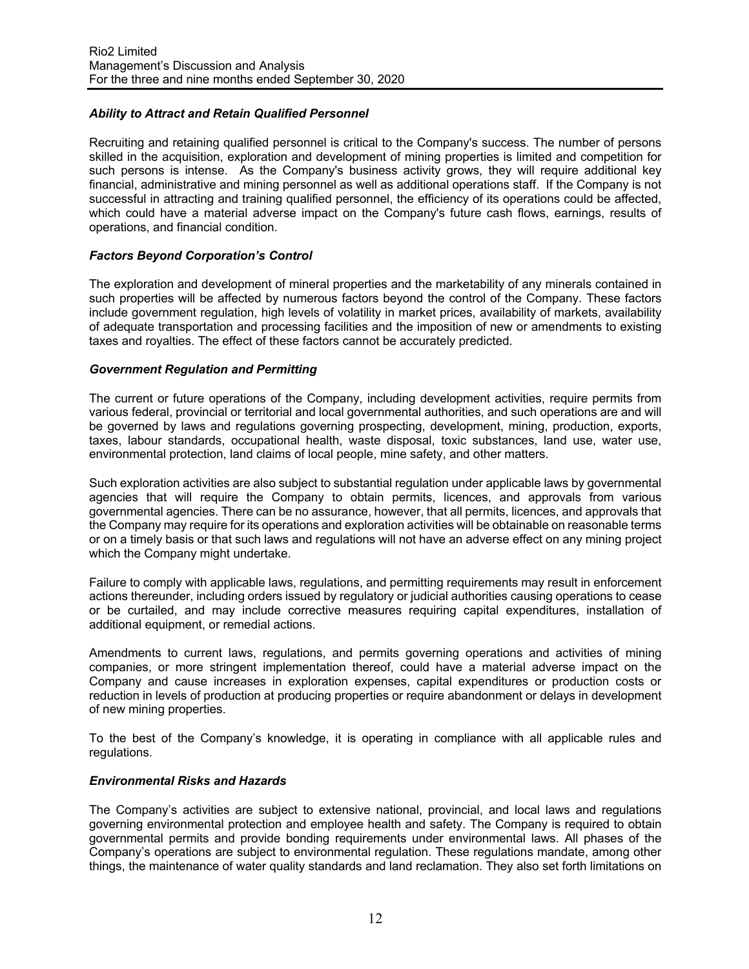## *Ability to Attract and Retain Qualified Personnel*

Recruiting and retaining qualified personnel is critical to the Company's success. The number of persons skilled in the acquisition, exploration and development of mining properties is limited and competition for such persons is intense. As the Company's business activity grows, they will require additional key financial, administrative and mining personnel as well as additional operations staff. If the Company is not successful in attracting and training qualified personnel, the efficiency of its operations could be affected, which could have a material adverse impact on the Company's future cash flows, earnings, results of operations, and financial condition.

### *Factors Beyond Corporation's Control*

The exploration and development of mineral properties and the marketability of any minerals contained in such properties will be affected by numerous factors beyond the control of the Company. These factors include government regulation, high levels of volatility in market prices, availability of markets, availability of adequate transportation and processing facilities and the imposition of new or amendments to existing taxes and royalties. The effect of these factors cannot be accurately predicted.

#### *Government Regulation and Permitting*

The current or future operations of the Company, including development activities, require permits from various federal, provincial or territorial and local governmental authorities, and such operations are and will be governed by laws and regulations governing prospecting, development, mining, production, exports, taxes, labour standards, occupational health, waste disposal, toxic substances, land use, water use, environmental protection, land claims of local people, mine safety, and other matters.

Such exploration activities are also subject to substantial regulation under applicable laws by governmental agencies that will require the Company to obtain permits, licences, and approvals from various governmental agencies. There can be no assurance, however, that all permits, licences, and approvals that the Company may require for its operations and exploration activities will be obtainable on reasonable terms or on a timely basis or that such laws and regulations will not have an adverse effect on any mining project which the Company might undertake.

Failure to comply with applicable laws, regulations, and permitting requirements may result in enforcement actions thereunder, including orders issued by regulatory or judicial authorities causing operations to cease or be curtailed, and may include corrective measures requiring capital expenditures, installation of additional equipment, or remedial actions.

Amendments to current laws, regulations, and permits governing operations and activities of mining companies, or more stringent implementation thereof, could have a material adverse impact on the Company and cause increases in exploration expenses, capital expenditures or production costs or reduction in levels of production at producing properties or require abandonment or delays in development of new mining properties.

To the best of the Company's knowledge, it is operating in compliance with all applicable rules and regulations.

#### *Environmental Risks and Hazards*

The Company's activities are subject to extensive national, provincial, and local laws and regulations governing environmental protection and employee health and safety. The Company is required to obtain governmental permits and provide bonding requirements under environmental laws. All phases of the Company's operations are subject to environmental regulation. These regulations mandate, among other things, the maintenance of water quality standards and land reclamation. They also set forth limitations on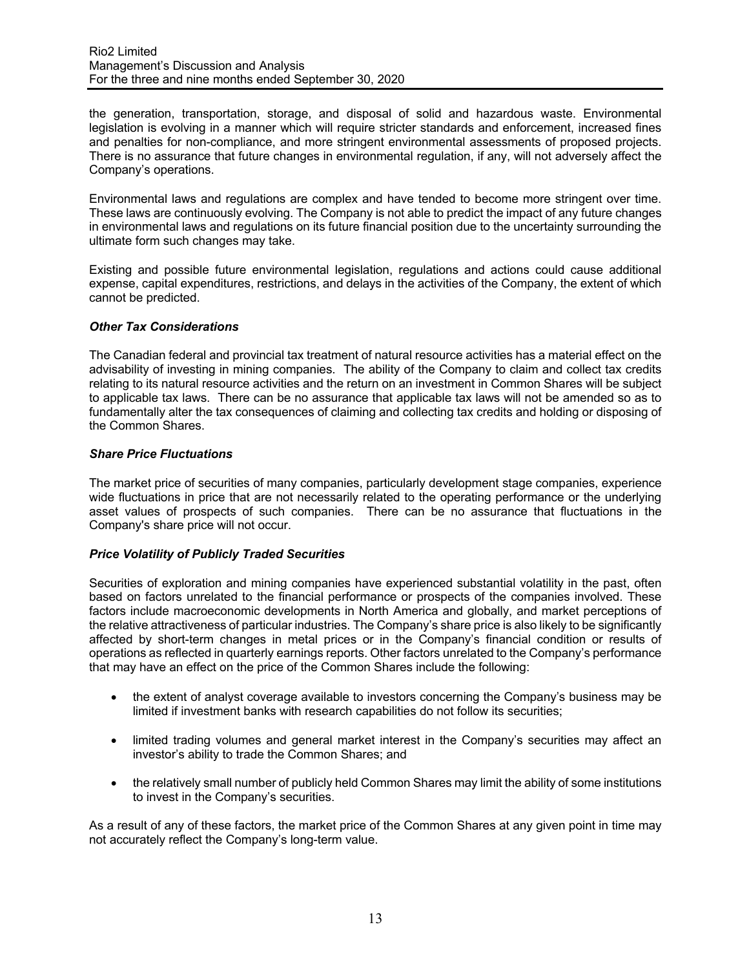the generation, transportation, storage, and disposal of solid and hazardous waste. Environmental legislation is evolving in a manner which will require stricter standards and enforcement, increased fines and penalties for non-compliance, and more stringent environmental assessments of proposed projects. There is no assurance that future changes in environmental regulation, if any, will not adversely affect the Company's operations.

Environmental laws and regulations are complex and have tended to become more stringent over time. These laws are continuously evolving. The Company is not able to predict the impact of any future changes in environmental laws and regulations on its future financial position due to the uncertainty surrounding the ultimate form such changes may take.

Existing and possible future environmental legislation, regulations and actions could cause additional expense, capital expenditures, restrictions, and delays in the activities of the Company, the extent of which cannot be predicted.

### *Other Tax Considerations*

The Canadian federal and provincial tax treatment of natural resource activities has a material effect on the advisability of investing in mining companies. The ability of the Company to claim and collect tax credits relating to its natural resource activities and the return on an investment in Common Shares will be subject to applicable tax laws. There can be no assurance that applicable tax laws will not be amended so as to fundamentally alter the tax consequences of claiming and collecting tax credits and holding or disposing of the Common Shares.

### *Share Price Fluctuations*

The market price of securities of many companies, particularly development stage companies, experience wide fluctuations in price that are not necessarily related to the operating performance or the underlying asset values of prospects of such companies. There can be no assurance that fluctuations in the Company's share price will not occur.

## *Price Volatility of Publicly Traded Securities*

Securities of exploration and mining companies have experienced substantial volatility in the past, often based on factors unrelated to the financial performance or prospects of the companies involved. These factors include macroeconomic developments in North America and globally, and market perceptions of the relative attractiveness of particular industries. The Company's share price is also likely to be significantly affected by short-term changes in metal prices or in the Company's financial condition or results of operations as reflected in quarterly earnings reports. Other factors unrelated to the Company's performance that may have an effect on the price of the Common Shares include the following:

- the extent of analyst coverage available to investors concerning the Company's business may be limited if investment banks with research capabilities do not follow its securities;
- limited trading volumes and general market interest in the Company's securities may affect an investor's ability to trade the Common Shares; and
- the relatively small number of publicly held Common Shares may limit the ability of some institutions to invest in the Company's securities.

As a result of any of these factors, the market price of the Common Shares at any given point in time may not accurately reflect the Company's long-term value.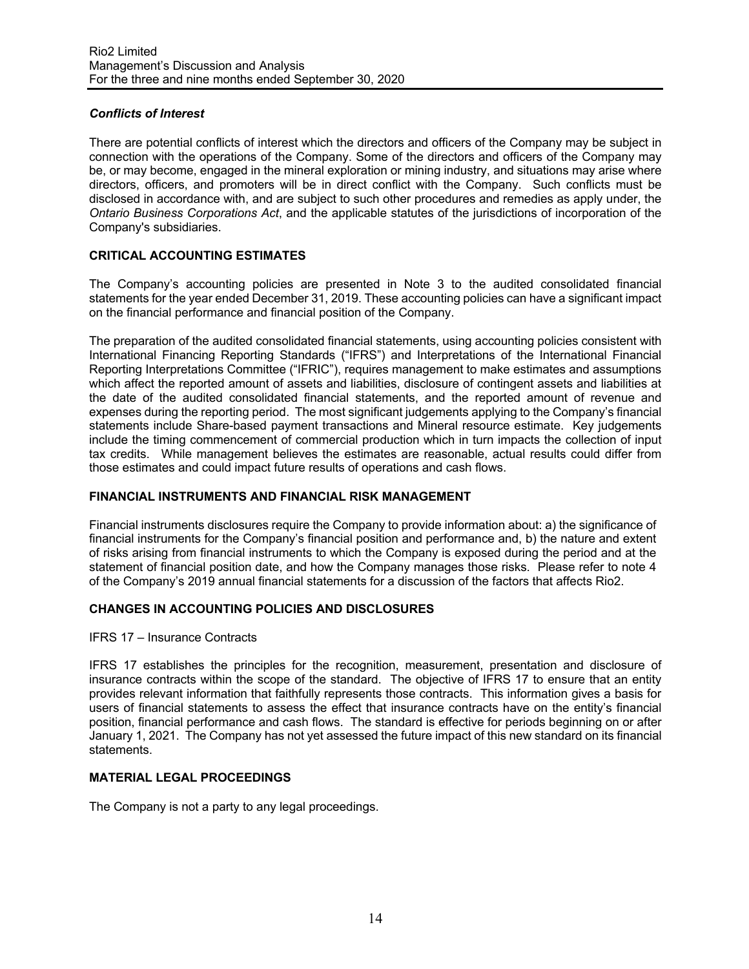## *Conflicts of Interest*

There are potential conflicts of interest which the directors and officers of the Company may be subject in connection with the operations of the Company. Some of the directors and officers of the Company may be, or may become, engaged in the mineral exploration or mining industry, and situations may arise where directors, officers, and promoters will be in direct conflict with the Company. Such conflicts must be disclosed in accordance with, and are subject to such other procedures and remedies as apply under, the *Ontario Business Corporations Act*, and the applicable statutes of the jurisdictions of incorporation of the Company's subsidiaries.

## **CRITICAL ACCOUNTING ESTIMATES**

The Company's accounting policies are presented in Note 3 to the audited consolidated financial statements for the year ended December 31, 2019. These accounting policies can have a significant impact on the financial performance and financial position of the Company.

The preparation of the audited consolidated financial statements, using accounting policies consistent with International Financing Reporting Standards ("IFRS") and Interpretations of the International Financial Reporting Interpretations Committee ("IFRIC"), requires management to make estimates and assumptions which affect the reported amount of assets and liabilities, disclosure of contingent assets and liabilities at the date of the audited consolidated financial statements, and the reported amount of revenue and expenses during the reporting period. The most significant judgements applying to the Company's financial statements include Share-based payment transactions and Mineral resource estimate. Key judgements include the timing commencement of commercial production which in turn impacts the collection of input tax credits. While management believes the estimates are reasonable, actual results could differ from those estimates and could impact future results of operations and cash flows.

#### **FINANCIAL INSTRUMENTS AND FINANCIAL RISK MANAGEMENT**

Financial instruments disclosures require the Company to provide information about: a) the significance of financial instruments for the Company's financial position and performance and, b) the nature and extent of risks arising from financial instruments to which the Company is exposed during the period and at the statement of financial position date, and how the Company manages those risks. Please refer to note 4 of the Company's 2019 annual financial statements for a discussion of the factors that affects Rio2.

### **CHANGES IN ACCOUNTING POLICIES AND DISCLOSURES**

#### IFRS 17 – Insurance Contracts

IFRS 17 establishes the principles for the recognition, measurement, presentation and disclosure of insurance contracts within the scope of the standard. The objective of IFRS 17 to ensure that an entity provides relevant information that faithfully represents those contracts. This information gives a basis for users of financial statements to assess the effect that insurance contracts have on the entity's financial position, financial performance and cash flows. The standard is effective for periods beginning on or after January 1, 2021. The Company has not yet assessed the future impact of this new standard on its financial statements.

### **MATERIAL LEGAL PROCEEDINGS**

The Company is not a party to any legal proceedings.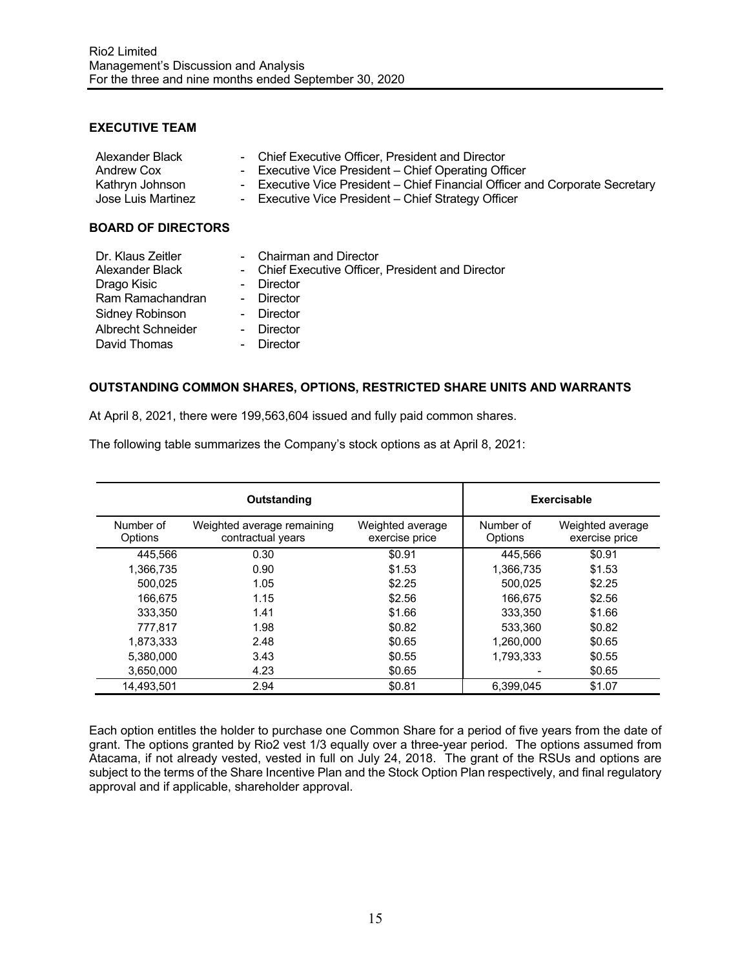## **EXECUTIVE TEAM**

| Alexander Black<br>Andrew Cox<br>Kathryn Johnson<br>Jose Luis Martinez | - Chief Executive Officer, President and Director<br>- Executive Vice President – Chief Operating Officer<br>- Executive Vice President – Chief Financial Officer and Corporate Secretary<br>- Executive Vice President - Chief Strategy Officer |
|------------------------------------------------------------------------|--------------------------------------------------------------------------------------------------------------------------------------------------------------------------------------------------------------------------------------------------|
|                                                                        |                                                                                                                                                                                                                                                  |

## **BOARD OF DIRECTORS**

| Dr. Klaus Zeitler      | - Chairman and Director                           |
|------------------------|---------------------------------------------------|
| Alexander Black        | - Chief Executive Officer, President and Director |
| Drago Kisic            | - Director                                        |
| Ram Ramachandran       | - Director                                        |
| <b>Sidney Robinson</b> | - Director                                        |
| Albrecht Schneider     | - Director                                        |
| David Thomas           | Director                                          |
|                        |                                                   |

## **OUTSTANDING COMMON SHARES, OPTIONS, RESTRICTED SHARE UNITS AND WARRANTS**

At April 8, 2021, there were 199,563,604 issued and fully paid common shares.

The following table summarizes the Company's stock options as at April 8, 2021:

|                      | Outstanding                                     | <b>Exercisable</b>                 |                      |                                    |
|----------------------|-------------------------------------------------|------------------------------------|----------------------|------------------------------------|
| Number of<br>Options | Weighted average remaining<br>contractual years | Weighted average<br>exercise price | Number of<br>Options | Weighted average<br>exercise price |
| 445.566              | 0.30                                            | \$0.91                             | 445,566              | \$0.91                             |
| 1,366,735            | 0.90                                            | \$1.53                             | 1,366,735            | \$1.53                             |
| 500.025              | 1.05                                            | \$2.25                             | 500,025              | \$2.25                             |
| 166.675              | 1.15                                            | \$2.56                             | 166,675              | \$2.56                             |
| 333.350              | 1.41                                            | \$1.66                             | 333.350              | \$1.66                             |
| 777.817              | 1.98                                            | \$0.82                             | 533.360              | \$0.82                             |
| 1.873.333            | 2.48                                            | \$0.65                             | 1,260,000            | \$0.65                             |
| 5.380.000            | 3.43                                            | \$0.55                             | 1,793,333            | \$0.55                             |
| 3.650.000            | 4.23                                            | \$0.65                             |                      | \$0.65                             |
| 14.493.501           | 2.94                                            | \$0.81                             | 6.399.045            | \$1.07                             |

Each option entitles the holder to purchase one Common Share for a period of five years from the date of grant. The options granted by Rio2 vest 1/3 equally over a three-year period. The options assumed from Atacama, if not already vested, vested in full on July 24, 2018. The grant of the RSUs and options are subject to the terms of the Share Incentive Plan and the Stock Option Plan respectively, and final regulatory approval and if applicable, shareholder approval.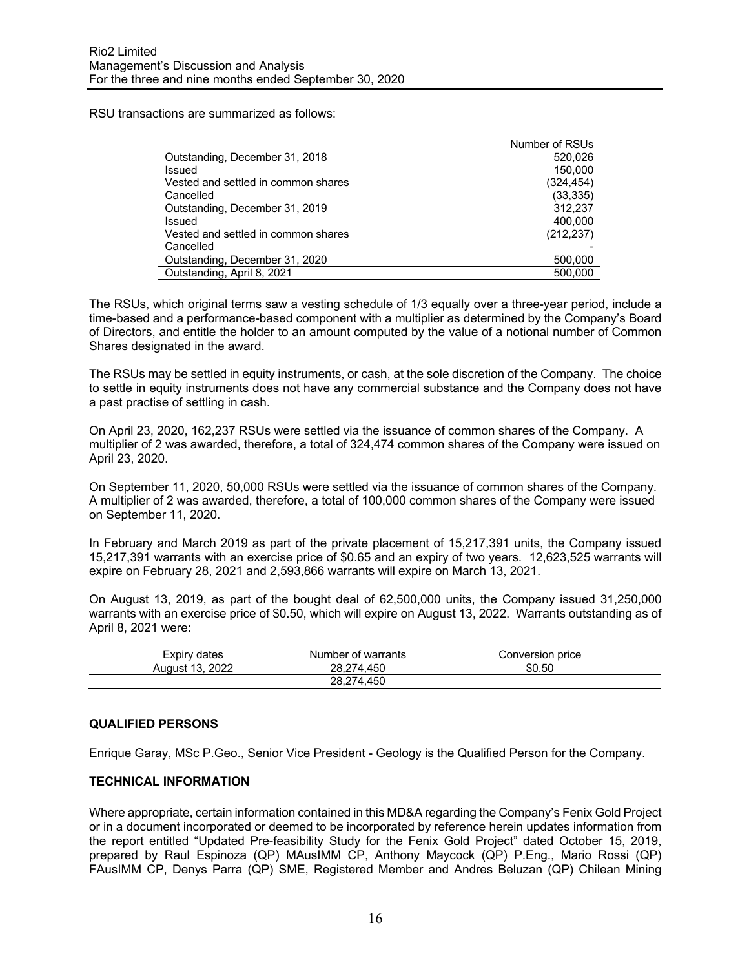RSU transactions are summarized as follows:

|                                     | Number of RSUs |
|-------------------------------------|----------------|
| Outstanding, December 31, 2018      | 520,026        |
| Issued                              | 150.000        |
| Vested and settled in common shares | (324, 454)     |
| Cancelled                           | (33, 335)      |
| Outstanding, December 31, 2019      | 312.237        |
| Issued                              | 400,000        |
| Vested and settled in common shares | (212, 237)     |
| Cancelled                           |                |
| Outstanding, December 31, 2020      | 500,000        |
| Outstanding, April 8, 2021          | 500.000        |

The RSUs, which original terms saw a vesting schedule of 1/3 equally over a three-year period, include a time-based and a performance-based component with a multiplier as determined by the Company's Board of Directors, and entitle the holder to an amount computed by the value of a notional number of Common Shares designated in the award.

The RSUs may be settled in equity instruments, or cash, at the sole discretion of the Company. The choice to settle in equity instruments does not have any commercial substance and the Company does not have a past practise of settling in cash.

On April 23, 2020, 162,237 RSUs were settled via the issuance of common shares of the Company. A multiplier of 2 was awarded, therefore, a total of 324,474 common shares of the Company were issued on April 23, 2020.

On September 11, 2020, 50,000 RSUs were settled via the issuance of common shares of the Company. A multiplier of 2 was awarded, therefore, a total of 100,000 common shares of the Company were issued on September 11, 2020.

In February and March 2019 as part of the private placement of 15,217,391 units, the Company issued 15,217,391 warrants with an exercise price of \$0.65 and an expiry of two years. 12,623,525 warrants will expire on February 28, 2021 and 2,593,866 warrants will expire on March 13, 2021.

On August 13, 2019, as part of the bought deal of 62,500,000 units, the Company issued 31,250,000 warrants with an exercise price of \$0.50, which will expire on August 13, 2022. Warrants outstanding as of April 8, 2021 were:

| Expiry<br>dates                  | Number of warrants | Conversion price |
|----------------------------------|--------------------|------------------|
| 2022<br>$\overline{a}$<br>August | 450<br>28.2        | \$0.50           |
|                                  | 450<br>28,27       |                  |

#### **QUALIFIED PERSONS**

Enrique Garay, MSc P.Geo., Senior Vice President - Geology is the Qualified Person for the Company.

#### **TECHNICAL INFORMATION**

Where appropriate, certain information contained in this MD&A regarding the Company's Fenix Gold Project or in a document incorporated or deemed to be incorporated by reference herein updates information from the report entitled "Updated Pre-feasibility Study for the Fenix Gold Project" dated October 15, 2019, prepared by Raul Espinoza (QP) MAusIMM CP, Anthony Maycock (QP) P.Eng., Mario Rossi (QP) FAusIMM CP, Denys Parra (QP) SME, Registered Member and Andres Beluzan (QP) Chilean Mining